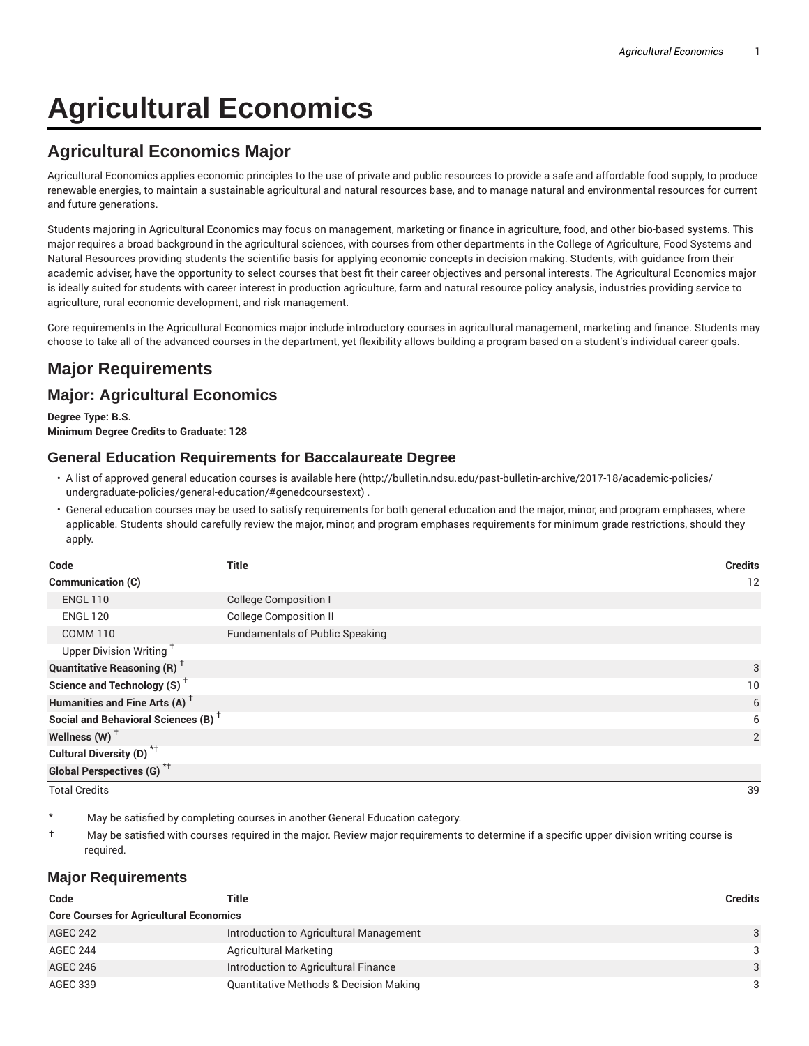# **Agricultural Economics**

### **Agricultural Economics Major**

Agricultural Economics applies economic principles to the use of private and public resources to provide a safe and affordable food supply, to produce renewable energies, to maintain a sustainable agricultural and natural resources base, and to manage natural and environmental resources for current and future generations.

Students majoring in Agricultural Economics may focus on management, marketing or finance in agriculture, food, and other bio-based systems. This major requires a broad background in the agricultural sciences, with courses from other departments in the College of Agriculture, Food Systems and Natural Resources providing students the scientific basis for applying economic concepts in decision making. Students, with guidance from their academic adviser, have the opportunity to select courses that best fit their career objectives and personal interests. The Agricultural Economics major is ideally suited for students with career interest in production agriculture, farm and natural resource policy analysis, industries providing service to agriculture, rural economic development, and risk management.

Core requirements in the Agricultural Economics major include introductory courses in agricultural management, marketing and finance. Students may choose to take all of the advanced courses in the department, yet flexibility allows building a program based on a student's individual career goals.

## **Major Requirements Major: Agricultural Economics**

**Degree Type: B.S. Minimum Degree Credits to Graduate: 128**

#### **General Education Requirements for Baccalaureate Degree**

- A list of approved general education courses is available here (http://bulletin.ndsu.edu/past-bulletin-archive/2017-18/academic-policies/ undergraduate-policies/general-education/#genedcoursestext) .
- General education courses may be used to satisfy requirements for both general education and the major, minor, and program emphases, where applicable. Students should carefully review the major, minor, and program emphases requirements for minimum grade restrictions, should they apply.

| Code                                            | Title                                  | <b>Credits</b> |
|-------------------------------------------------|----------------------------------------|----------------|
| Communication (C)                               |                                        | 12             |
| <b>ENGL 110</b>                                 | <b>College Composition I</b>           |                |
| <b>ENGL 120</b>                                 | <b>College Composition II</b>          |                |
| <b>COMM 110</b>                                 | <b>Fundamentals of Public Speaking</b> |                |
| Upper Division Writing <sup>+</sup>             |                                        |                |
| <b>Quantitative Reasoning (R)</b> <sup>†</sup>  |                                        | 3              |
| Science and Technology (S) <sup>+</sup>         |                                        | 10             |
| Humanities and Fine Arts (A) <sup>+</sup>       |                                        | 6              |
| Social and Behavioral Sciences (B) <sup>+</sup> |                                        | 6              |
| Wellness $(W)$ <sup>+</sup>                     |                                        | 2              |
| Cultural Diversity (D) <sup>*†</sup>            |                                        |                |
| <b>Global Perspectives (G)<sup>*†</sup></b>     |                                        |                |

Total Credits 39

May be satisfied by completing courses in another General Education category.

† May be satisfied with courses required in the major. Review major requirements to determine if a specific upper division writing course is required.

#### **Major Requirements**

| Code                                           | Title                                             | <b>Credits</b> |  |  |
|------------------------------------------------|---------------------------------------------------|----------------|--|--|
| <b>Core Courses for Agricultural Economics</b> |                                                   |                |  |  |
| <b>AGEC 242</b>                                | Introduction to Agricultural Management           | 3              |  |  |
| AGEC 244                                       | <b>Agricultural Marketing</b>                     | 3              |  |  |
| AGEC 246                                       | Introduction to Agricultural Finance              | 3              |  |  |
| AGEC 339                                       | <b>Quantitative Methods &amp; Decision Making</b> | 3              |  |  |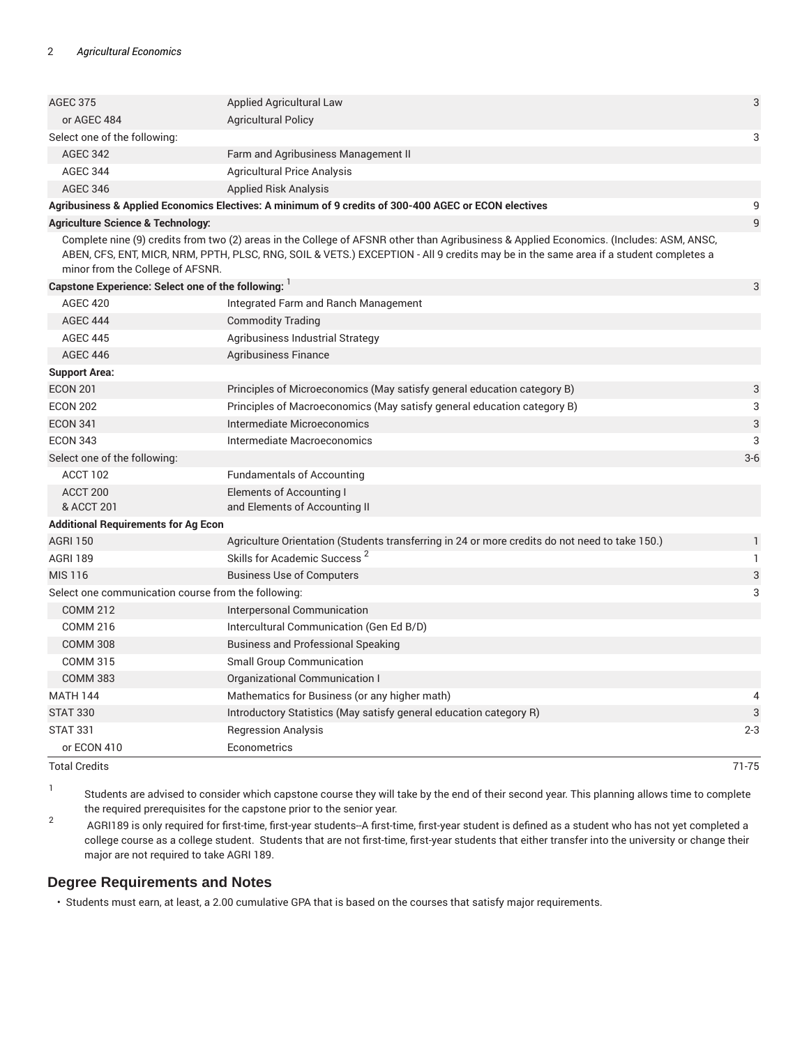| <b>STAT 330</b>                                     | Introductory Statistics (May satisfy general education category R)                                                                                                                                                                                                              | 3              |
|-----------------------------------------------------|---------------------------------------------------------------------------------------------------------------------------------------------------------------------------------------------------------------------------------------------------------------------------------|----------------|
| <b>MATH 144</b>                                     | Mathematics for Business (or any higher math)                                                                                                                                                                                                                                   | 4              |
| <b>COMM 383</b>                                     | Organizational Communication I                                                                                                                                                                                                                                                  |                |
| <b>COMM 315</b>                                     | <b>Small Group Communication</b>                                                                                                                                                                                                                                                |                |
| <b>COMM 308</b>                                     | <b>Business and Professional Speaking</b>                                                                                                                                                                                                                                       |                |
| <b>COMM 216</b>                                     | Intercultural Communication (Gen Ed B/D)                                                                                                                                                                                                                                        |                |
| <b>COMM 212</b>                                     | Interpersonal Communication                                                                                                                                                                                                                                                     |                |
| Select one communication course from the following: |                                                                                                                                                                                                                                                                                 | 3              |
| <b>MIS 116</b>                                      | <b>Business Use of Computers</b>                                                                                                                                                                                                                                                | 3              |
| <b>AGRI 189</b>                                     | Skills for Academic Success <sup>2</sup>                                                                                                                                                                                                                                        | 1              |
| <b>AGRI 150</b>                                     | Agriculture Orientation (Students transferring in 24 or more credits do not need to take 150.)                                                                                                                                                                                  | $\mathbf{1}$   |
| <b>Additional Requirements for Ag Econ</b>          |                                                                                                                                                                                                                                                                                 |                |
| ACCT 200<br>& ACCT 201                              | Elements of Accounting I<br>and Elements of Accounting II                                                                                                                                                                                                                       |                |
| ACCT 102                                            | <b>Fundamentals of Accounting</b>                                                                                                                                                                                                                                               |                |
| Select one of the following:                        |                                                                                                                                                                                                                                                                                 | $3-6$          |
| <b>ECON 343</b>                                     | Intermediate Macroeconomics                                                                                                                                                                                                                                                     | 3              |
| <b>ECON 341</b>                                     | Intermediate Microeconomics                                                                                                                                                                                                                                                     | 3              |
| <b>ECON 202</b>                                     | Principles of Macroeconomics (May satisfy general education category B)                                                                                                                                                                                                         | 3              |
| <b>ECON 201</b>                                     | Principles of Microeconomics (May satisfy general education category B)                                                                                                                                                                                                         | 3              |
| <b>Support Area:</b>                                |                                                                                                                                                                                                                                                                                 |                |
| <b>AGEC 446</b>                                     | Agribusiness Finance                                                                                                                                                                                                                                                            |                |
| <b>AGEC 445</b>                                     | Agribusiness Industrial Strategy                                                                                                                                                                                                                                                |                |
| <b>AGEC 444</b>                                     | <b>Commodity Trading</b>                                                                                                                                                                                                                                                        |                |
| <b>AGEC 420</b>                                     | Integrated Farm and Ranch Management                                                                                                                                                                                                                                            |                |
| Capstone Experience: Select one of the following:   |                                                                                                                                                                                                                                                                                 | 3              |
| minor from the College of AFSNR.                    | Complete nine (9) credits from two (2) areas in the College of AFSNR other than Agribusiness & Applied Economics. (Includes: ASM, ANSC,<br>ABEN, CFS, ENT, MICR, NRM, PPTH, PLSC, RNG, SOIL & VETS.) EXCEPTION - All 9 credits may be in the same area if a student completes a |                |
| <b>Agriculture Science &amp; Technology:</b>        |                                                                                                                                                                                                                                                                                 | $\overline{9}$ |
|                                                     | Agribusiness & Applied Economics Electives: A minimum of 9 credits of 300-400 AGEC or ECON electives                                                                                                                                                                            | 9              |
| <b>AGEC 346</b>                                     | <b>Applied Risk Analysis</b>                                                                                                                                                                                                                                                    |                |
| <b>AGEC 344</b>                                     | <b>Agricultural Price Analysis</b>                                                                                                                                                                                                                                              |                |
| <b>AGEC 342</b>                                     | Farm and Agribusiness Management II                                                                                                                                                                                                                                             |                |
| Select one of the following:                        |                                                                                                                                                                                                                                                                                 | 3              |
| or AGEC 484                                         | <b>Agricultural Policy</b>                                                                                                                                                                                                                                                      |                |
| <b>AGEC 375</b>                                     | Applied Agricultural Law                                                                                                                                                                                                                                                        | 3              |
|                                                     |                                                                                                                                                                                                                                                                                 |                |

1 Students are advised to consider which capstone course they will take by the end of their second year. This planning allows time to complete the required prerequisites for the capstone prior to the senior year.

2 AGRI189 is only required for first-time, first-year students--A first-time, first-year student is defined as a student who has not yet completed a college course as a college student. Students that are not first-time, first-year students that either transfer into the university or change their major are not required to take AGRI 189.

#### **Degree Requirements and Notes**

• Students must earn, at least, a 2.00 cumulative GPA that is based on the courses that satisfy major requirements.